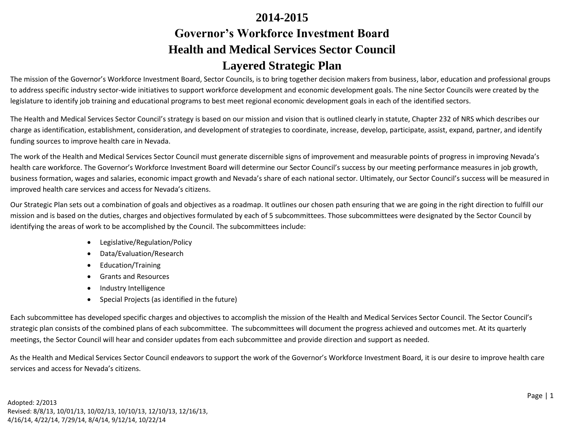# **2014-2015 Governor's Workforce Investment Board Health and Medical Services Sector Council Layered Strategic Plan**

The mission of the Governor's Workforce Investment Board, Sector Councils, is to bring together decision makers from business, labor, education and professional groups to address specific industry sector-wide initiatives to support workforce development and economic development goals. The nine Sector Councils were created by the legislature to identify job training and educational programs to best meet regional economic development goals in each of the identified sectors.

The Health and Medical Services Sector Council's strategy is based on our mission and vision that is outlined clearly in statute, Chapter 232 of NRS which describes our charge as identification, establishment, consideration, and development of strategies to coordinate, increase, develop, participate, assist, expand, partner, and identify funding sources to improve health care in Nevada.

The work of the Health and Medical Services Sector Council must generate discernible signs of improvement and measurable points of progress in improving Nevada's health care workforce. The Governor's Workforce Investment Board will determine our Sector Council's success by our meeting performance measures in job growth, business formation, wages and salaries, economic impact growth and Nevada's share of each national sector. Ultimately, our Sector Council's success will be measured in improved health care services and access for Nevada's citizens.

Our Strategic Plan sets out a combination of goals and objectives as a roadmap. It outlines our chosen path ensuring that we are going in the right direction to fulfill our mission and is based on the duties, charges and objectives formulated by each of 5 subcommittees. Those subcommittees were designated by the Sector Council by identifying the areas of work to be accomplished by the Council. The subcommittees include:

- Legislative/Regulation/Policy
- Data/Evaluation/Research
- Education/Training
- Grants and Resources
- Industry Intelligence
- Special Projects (as identified in the future)

Each subcommittee has developed specific charges and objectives to accomplish the mission of the Health and Medical Services Sector Council. The Sector Council's strategic plan consists of the combined plans of each subcommittee. The subcommittees will document the progress achieved and outcomes met. At its quarterly meetings, the Sector Council will hear and consider updates from each subcommittee and provide direction and support as needed.

As the Health and Medical Services Sector Council endeavors to support the work of the Governor's Workforce Investment Board, it is our desire to improve health care services and access for Nevada's citizens.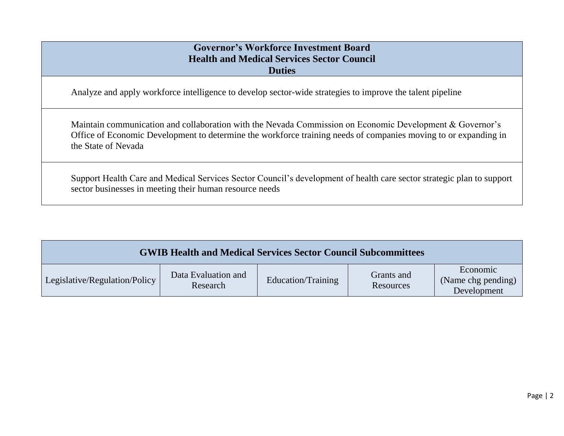#### **Governor's Workforce Investment Board Health and Medical Services Sector Council Duties**

Analyze and apply workforce intelligence to develop sector-wide strategies to improve the talent pipeline

Maintain communication and collaboration with the Nevada Commission on Economic Development & Governor's Office of Economic Development to determine the workforce training needs of companies moving to or expanding in the State of Nevada

Support Health Care and Medical Services Sector Council's development of health care sector strategic plan to support sector businesses in meeting their human resource needs

| <b>GWIB Health and Medical Services Sector Council Subcommittees</b> |                                 |                    |                         |                                               |
|----------------------------------------------------------------------|---------------------------------|--------------------|-------------------------|-----------------------------------------------|
| Legislative/Regulation/Policy                                        | Data Evaluation and<br>Research | Education/Training | Grants and<br>Resources | Economic<br>(Name chg pending)<br>Development |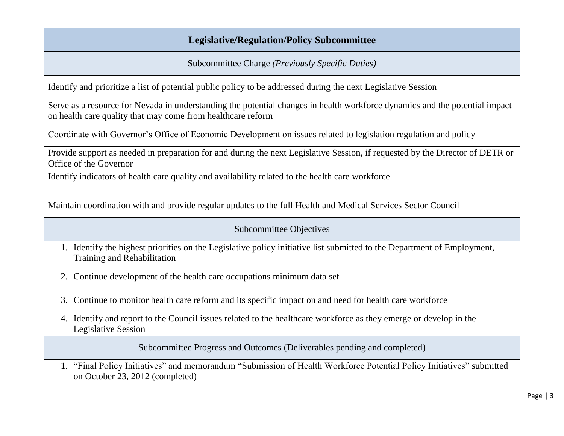## **Legislative/Regulation/Policy Subcommittee**

Subcommittee Charge *(Previously Specific Duties)*

Identify and prioritize a list of potential public policy to be addressed during the next Legislative Session

Serve as a resource for Nevada in understanding the potential changes in health workforce dynamics and the potential impact on health care quality that may come from healthcare reform

Coordinate with Governor's Office of Economic Development on issues related to legislation regulation and policy

Provide support as needed in preparation for and during the next Legislative Session, if requested by the Director of DETR or Office of the Governor

Identify indicators of health care quality and availability related to the health care workforce

Maintain coordination with and provide regular updates to the full Health and Medical Services Sector Council

#### Subcommittee Objectives

- 1. Identify the highest priorities on the Legislative policy initiative list submitted to the Department of Employment, Training and Rehabilitation
- 2. Continue development of the health care occupations minimum data set
- 3. Continue to monitor health care reform and its specific impact on and need for health care workforce
- 4. Identify and report to the Council issues related to the healthcare workforce as they emerge or develop in the Legislative Session

Subcommittee Progress and Outcomes (Deliverables pending and completed)

1. "Final Policy Initiatives" and memorandum "Submission of Health Workforce Potential Policy Initiatives" submitted on October 23, 2012 (completed)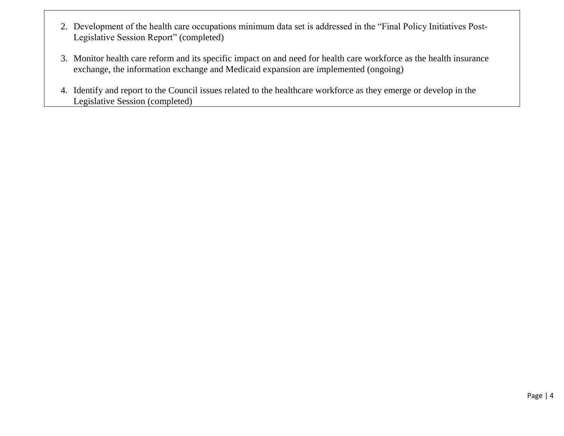- 2. Development of the health care occupations minimum data set is addressed in the "Final Policy Initiatives Post-Legislative Session Report" (completed)
- 3. Monitor health care reform and its specific impact on and need for health care workforce as the health insurance exchange, the information exchange and Medicaid expansion are implemented (ongoing)
- 4. Identify and report to the Council issues related to the healthcare workforce as they emerge or develop in the Legislative Session (completed)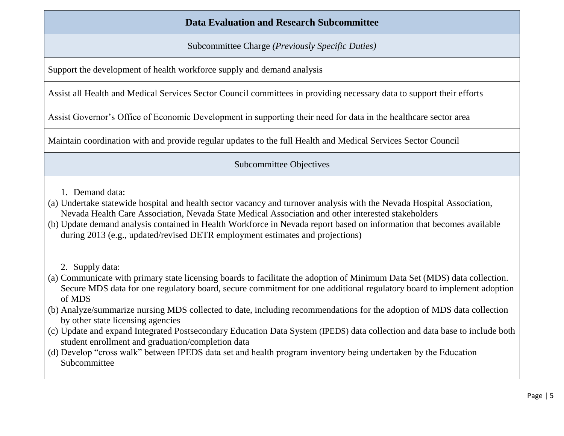### **Data Evaluation and Research Subcommittee**

Subcommittee Charge *(Previously Specific Duties)*

Support the development of health workforce supply and demand analysis

Assist all Health and Medical Services Sector Council committees in providing necessary data to support their efforts

Assist Governor's Office of Economic Development in supporting their need for data in the healthcare sector area

Maintain coordination with and provide regular updates to the full Health and Medical Services Sector Council

Subcommittee Objectives

- 1. Demand data:
- (a) Undertake statewide hospital and health sector vacancy and turnover analysis with the Nevada Hospital Association, Nevada Health Care Association, Nevada State Medical Association and other interested stakeholders
- (b) Update demand analysis contained in Health Workforce in Nevada report based on information that becomes available during 2013 (e.g., updated/revised DETR employment estimates and projections)
	- 2. Supply data:
- (a) Communicate with primary state licensing boards to facilitate the adoption of Minimum Data Set (MDS) data collection. Secure MDS data for one regulatory board, secure commitment for one additional regulatory board to implement adoption of MDS
- (b) Analyze/summarize nursing MDS collected to date, including recommendations for the adoption of MDS data collection by other state licensing agencies
- (c) Update and expand Integrated Postsecondary Education Data System (IPEDS) data collection and data base to include both student enrollment and graduation/completion data
- (d) Develop "cross walk" between IPEDS data set and health program inventory being undertaken by the Education Subcommittee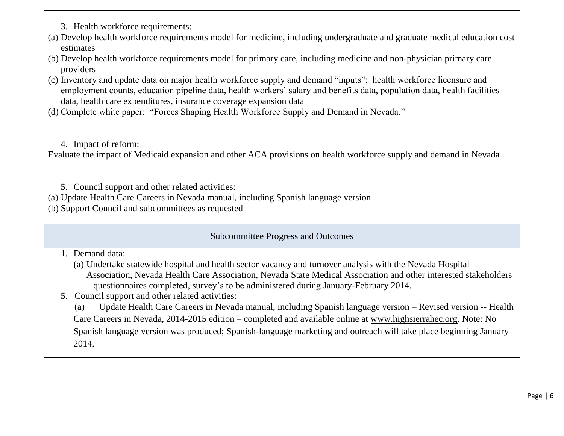- 3. Health workforce requirements:
- (a) Develop health workforce requirements model for medicine, including undergraduate and graduate medical education cost estimates
- (b) Develop health workforce requirements model for primary care, including medicine and non-physician primary care providers
- (c) Inventory and update data on major health workforce supply and demand "inputs": health workforce licensure and employment counts, education pipeline data, health workers' salary and benefits data, population data, health facilities data, health care expenditures, insurance coverage expansion data
- (d) Complete white paper: "Forces Shaping Health Workforce Supply and Demand in Nevada."

4. Impact of reform:

Evaluate the impact of Medicaid expansion and other ACA provisions on health workforce supply and demand in Nevada

- 5. Council support and other related activities:
- (a) Update Health Care Careers in Nevada manual, including Spanish language version
- (b) Support Council and subcommittees as requested

Subcommittee Progress and Outcomes

## 1. Demand data:

- (a) Undertake statewide hospital and health sector vacancy and turnover analysis with the Nevada Hospital Association, Nevada Health Care Association, Nevada State Medical Association and other interested stakeholders – questionnaires completed, survey's to be administered during January-February 2014.
- 5. Council support and other related activities:

(a) Update Health Care Careers in Nevada manual, including Spanish language version – Revised version -- Health Care Careers in Nevada, 2014-2015 edition – completed and available online at [www.highsierrahec.org.](http://www.highsierrahec.org/) Note: No Spanish language version was produced; Spanish-language marketing and outreach will take place beginning January 2014.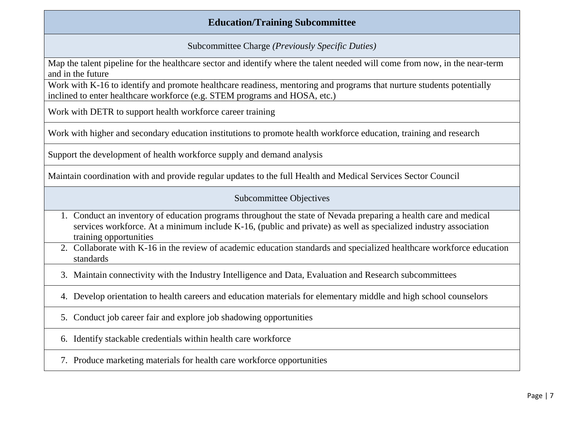## **Education/Training Subcommittee**

Subcommittee Charge *(Previously Specific Duties)*

Map the talent pipeline for the healthcare sector and identify where the talent needed will come from now, in the near-term and in the future

Work with K-16 to identify and promote healthcare readiness, mentoring and programs that nurture students potentially inclined to enter healthcare workforce (e.g. STEM programs and HOSA, etc.)

Work with DETR to support health workforce career training

Work with higher and secondary education institutions to promote health workforce education, training and research

Support the development of health workforce supply and demand analysis

Maintain coordination with and provide regular updates to the full Health and Medical Services Sector Council

#### Subcommittee Objectives

- 1. Conduct an inventory of education programs throughout the state of Nevada preparing a health care and medical services workforce. At a minimum include K-16, (public and private) as well as specialized industry association training opportunities
- 2. Collaborate with K-16 in the review of academic education standards and specialized healthcare workforce education standards
- 3. Maintain connectivity with the Industry Intelligence and Data, Evaluation and Research subcommittees
- 4. Develop orientation to health careers and education materials for elementary middle and high school counselors
- 5. Conduct job career fair and explore job shadowing opportunities
- 6. Identify stackable credentials within health care workforce
- 7. Produce marketing materials for health care workforce opportunities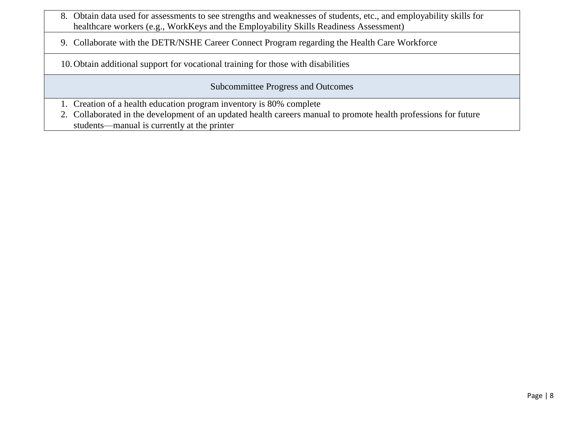- 8. Obtain data used for assessments to see strengths and weaknesses of students, etc., and employability skills for healthcare workers (e.g., WorkKeys and the Employability Skills Readiness Assessment)
- 9. Collaborate with the DETR/NSHE Career Connect Program regarding the Health Care Workforce

10.Obtain additional support for vocational training for those with disabilities

Subcommittee Progress and Outcomes

- 1. Creation of a health education program inventory is 80% complete
- 2. Collaborated in the development of an updated health careers manual to promote health professions for future students—manual is currently at the printer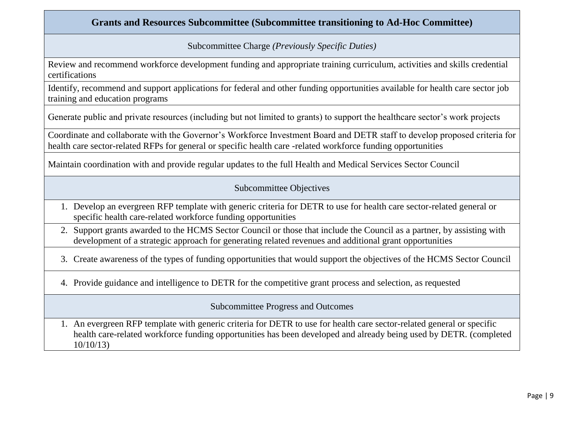### **Grants and Resources Subcommittee (Subcommittee transitioning to Ad-Hoc Committee)**

Subcommittee Charge *(Previously Specific Duties)*

Review and recommend workforce development funding and appropriate training curriculum, activities and skills credential certifications

Identify, recommend and support applications for federal and other funding opportunities available for health care sector job training and education programs

Generate public and private resources (including but not limited to grants) to support the healthcare sector's work projects

Coordinate and collaborate with the Governor's Workforce Investment Board and DETR staff to develop proposed criteria for health care sector-related RFPs for general or specific health care -related workforce funding opportunities

Maintain coordination with and provide regular updates to the full Health and Medical Services Sector Council

#### Subcommittee Objectives

- 1. Develop an evergreen RFP template with generic criteria for DETR to use for health care sector-related general or specific health care-related workforce funding opportunities
- 2. Support grants awarded to the HCMS Sector Council or those that include the Council as a partner, by assisting with development of a strategic approach for generating related revenues and additional grant opportunities

3. Create awareness of the types of funding opportunities that would support the objectives of the HCMS Sector Council

4. Provide guidance and intelligence to DETR for the competitive grant process and selection, as requested

Subcommittee Progress and Outcomes

1. An evergreen RFP template with generic criteria for DETR to use for health care sector-related general or specific health care-related workforce funding opportunities has been developed and already being used by DETR. (completed 10/10/13)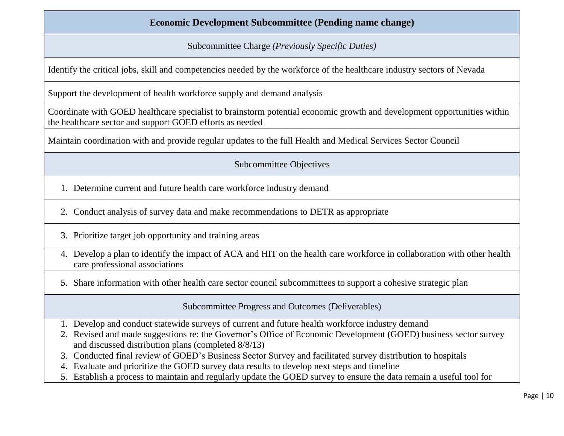## **Economic Development Subcommittee (Pending name change)**

Subcommittee Charge *(Previously Specific Duties)*

Identify the critical jobs, skill and competencies needed by the workforce of the healthcare industry sectors of Nevada

Support the development of health workforce supply and demand analysis

Coordinate with GOED healthcare specialist to brainstorm potential economic growth and development opportunities within the healthcare sector and support GOED efforts as needed

Maintain coordination with and provide regular updates to the full Health and Medical Services Sector Council

Subcommittee Objectives

- 1. Determine current and future health care workforce industry demand
- 2. Conduct analysis of survey data and make recommendations to DETR as appropriate
- 3. Prioritize target job opportunity and training areas
- 4. Develop a plan to identify the impact of ACA and HIT on the health care workforce in collaboration with other health care professional associations
- 5. Share information with other health care sector council subcommittees to support a cohesive strategic plan

Subcommittee Progress and Outcomes (Deliverables)

- 1. Develop and conduct statewide surveys of current and future health workforce industry demand
- 2. Revised and made suggestions re: the Governor's Office of Economic Development (GOED) business sector survey and discussed distribution plans (completed 8/8/13)
- 3. Conducted final review of GOED's Business Sector Survey and facilitated survey distribution to hospitals
- 4. Evaluate and prioritize the GOED survey data results to develop next steps and timeline
- 5. Establish a process to maintain and regularly update the GOED survey to ensure the data remain a useful tool for